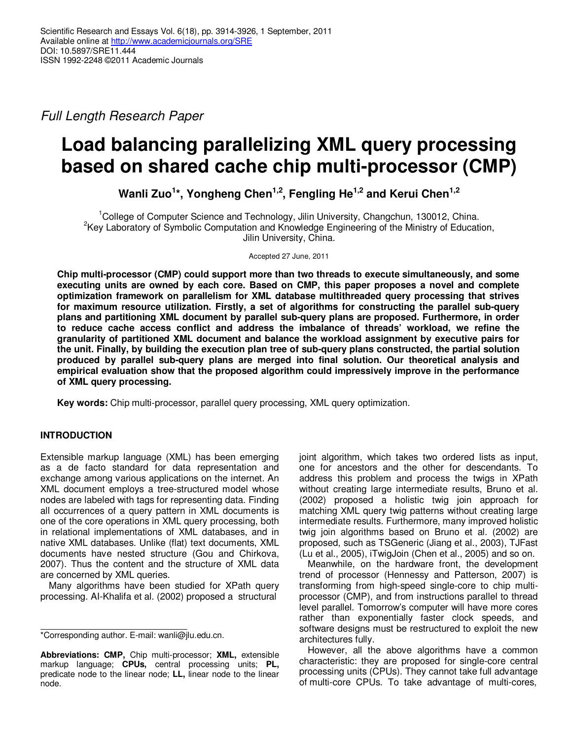*Full Length Research Paper*

# **Load balancing parallelizing XML query processing based on shared cache chip multi-processor (CMP)**

**Wanli Zuo<sup>1</sup> \*, Yongheng Chen1,2, Fengling He1,2 and Kerui Chen1,2**

<sup>1</sup>College of Computer Science and Technology, Jilin University, Changchun, 130012, China. <sup>2</sup>Key Laboratory of Symbolic Computation and Knowledge Engineering of the Ministry of Education, Jilin University, China.

Accepted 27 June, 2011

**Chip multi-processor (CMP) could support more than two threads to execute simultaneously, and some executing units are owned by each core. Based on CMP, this paper proposes a novel and complete optimization framework on parallelism for XML database multithreaded query processing that strives for maximum resource utilization. Firstly, a set of algorithms for constructing the parallel sub-query plans and partitioning XML document by parallel sub-query plans are proposed. Furthermore, in order to reduce cache access conflict and address the imbalance of threads' workload, we refine the granularity of partitioned XML document and balance the workload assignment by executive pairs for the unit. Finally, by building the execution plan tree of sub-query plans constructed, the partial solution produced by parallel sub-query plans are merged into final solution. Our theoretical analysis and empirical evaluation show that the proposed algorithm could impressively improve in the performance of XML query processing.** 

**Key words:** Chip multi-processor, parallel query processing, XML query optimization.

# **INTRODUCTION**

Extensible markup language (XML) has been emerging as a de facto standard for data representation and exchange among various applications on the internet. An XML document employs a tree-structured model whose nodes are labeled with tags for representing data. Finding all occurrences of a query pattern in XML documents is one of the core operations in XML query processing, both in relational implementations of XML databases, and in native XML databases. Unlike (flat) text documents, XML documents have nested structure (Gou and Chirkova, 2007). Thus the content and the structure of XML data are concerned by XML queries.

Many algorithms have been studied for XPath query processing. AI-Khalifa et al. (2002) proposed a structural

joint algorithm, which takes two ordered lists as input, one for ancestors and the other for descendants. To address this problem and process the twigs in XPath without creating large intermediate results, Bruno et al. (2002) proposed a holistic twig join approach for matching XML query twig patterns without creating large intermediate results. Furthermore, many improved holistic twig join algorithms based on Bruno et al. (2002) are proposed, such as TSGeneric (Jiang et al., 2003), TJFast (Lu et al., 2005), iTwigJoin (Chen et al., 2005) and so on.

Meanwhile, on the hardware front, the development trend of processor (Hennessy and Patterson, 2007) is transforming from high-speed single-core to chip multiprocessor (CMP), and from instructions parallel to thread level parallel. Tomorrow's computer will have more cores rather than exponentially faster clock speeds, and software designs must be restructured to exploit the new architectures fully.

However, all the above algorithms have a common characteristic: they are proposed for single-core central processing units (CPUs). They cannot take full advantage of multi-core CPUs. To take advantage of multi-cores,

<sup>\*</sup>Corresponding author. E-mail: wanli@jlu.edu.cn.

**Abbreviations: CMP,** Chip multi-processor; **XML,** extensible markup language; **CPUs,** central processing units; **PL,** predicate node to the linear node; **LL,** linear node to the linear node.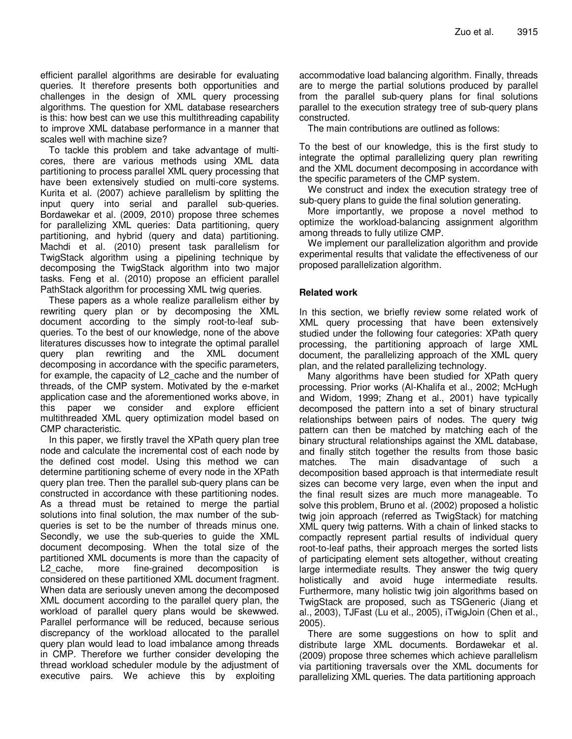efficient parallel algorithms are desirable for evaluating queries. It therefore presents both opportunities and challenges in the design of XML query processing algorithms. The question for XML database researchers is this: how best can we use this multithreading capability to improve XML database performance in a manner that scales well with machine size?

To tackle this problem and take advantage of multicores, there are various methods using XML data partitioning to process parallel XML query processing that have been extensively studied on multi-core systems. Kurita et al. (2007) achieve parallelism by splitting the input query into serial and parallel sub-queries. Bordawekar et al. (2009, 2010) propose three schemes for parallelizing XML queries: Data partitioning, query partitioning, and hybrid (query and data) partitioning. Machdi et al. (2010) present task parallelism for TwigStack algorithm using a pipelining technique by decomposing the TwigStack algorithm into two major tasks. Feng et al. (2010) propose an efficient parallel PathStack algorithm for processing XML twig queries.

These papers as a whole realize parallelism either by rewriting query plan or by decomposing the XML document according to the simply root-to-leaf subqueries. To the best of our knowledge, none of the above literatures discusses how to integrate the optimal parallel query plan rewriting and the XML document decomposing in accordance with the specific parameters, for example, the capacity of L2\_cache and the number of threads, of the CMP system. Motivated by the e-market application case and the aforementioned works above, in this paper we consider and explore efficient multithreaded XML query optimization model based on CMP characteristic.

In this paper, we firstly travel the XPath query plan tree node and calculate the incremental cost of each node by the defined cost model. Using this method we can determine partitioning scheme of every node in the XPath query plan tree. Then the parallel sub-query plans can be constructed in accordance with these partitioning nodes. As a thread must be retained to merge the partial solutions into final solution, the max number of the subqueries is set to be the number of threads minus one. Secondly, we use the sub-queries to guide the XML document decomposing. When the total size of the partitioned XML documents is more than the capacity of L2 cache, more fine-grained decomposition is considered on these partitioned XML document fragment. When data are seriously uneven among the decomposed XML document according to the parallel query plan, the workload of parallel query plans would be skewwed. Parallel performance will be reduced, because serious discrepancy of the workload allocated to the parallel query plan would lead to load imbalance among threads in CMP. Therefore we further consider developing the thread workload scheduler module by the adjustment of executive pairs. We achieve this by exploiting

accommodative load balancing algorithm. Finally, threads are to merge the partial solutions produced by parallel from the parallel sub-query plans for final solutions parallel to the execution strategy tree of sub-query plans constructed.

The main contributions are outlined as follows:

To the best of our knowledge, this is the first study to integrate the optimal parallelizing query plan rewriting and the XML document decomposing in accordance with the specific parameters of the CMP system.

We construct and index the execution strategy tree of sub-query plans to guide the final solution generating.

More importantly, we propose a novel method to optimize the workload-balancing assignment algorithm among threads to fully utilize CMP.

We implement our parallelization algorithm and provide experimental results that validate the effectiveness of our proposed parallelization algorithm.

# **Related work**

In this section, we briefly review some related work of XML query processing that have been extensively studied under the following four categories: XPath query processing, the partitioning approach of large XML document, the parallelizing approach of the XML query plan, and the related parallelizing technology.

Many algorithms have been studied for XPath query processing. Prior works (Al-Khalifa et al., 2002; McHugh and Widom, 1999; Zhang et al., 2001) have typically decomposed the pattern into a set of binary structural relationships between pairs of nodes. The query twig pattern can then be matched by matching each of the binary structural relationships against the XML database, and finally stitch together the results from those basic matches. The main disadvantage of such a decomposition based approach is that intermediate result sizes can become very large, even when the input and the final result sizes are much more manageable. To solve this problem, Bruno et al. (2002) proposed a holistic twig join approach (referred as TwigStack) for matching XML query twig patterns. With a chain of linked stacks to compactly represent partial results of individual query root-to-leaf paths, their approach merges the sorted lists of participating element sets altogether, without creating large intermediate results. They answer the twig query holistically and avoid huge intermediate results. Furthermore, many holistic twig join algorithms based on TwigStack are proposed, such as TSGeneric (Jiang et al., 2003), TJFast (Lu et al., 2005), iTwigJoin (Chen et al., 2005).

There are some suggestions on how to split and distribute large XML documents. Bordawekar et al. (2009) propose three schemes which achieve parallelism via partitioning traversals over the XML documents for parallelizing XML queries. The data partitioning approach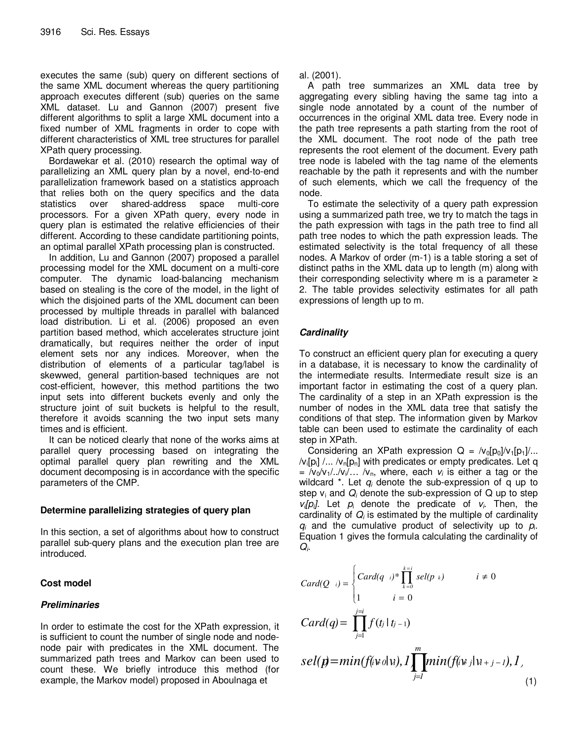executes the same (sub) query on different sections of the same XML document whereas the query partitioning approach executes different (sub) queries on the same XML dataset. Lu and Gannon (2007) present five different algorithms to split a large XML document into a fixed number of XML fragments in order to cope with different characteristics of XML tree structures for parallel XPath query processing.

Bordawekar et al. (2010) research the optimal way of parallelizing an XML query plan by a novel, end-to-end parallelization framework based on a statistics approach that relies both on the query specifics and the data statistics over shared-address space multi-core processors. For a given XPath query, every node in query plan is estimated the relative efficiencies of their different. According to these candidate partitioning points, an optimal parallel XPath processing plan is constructed.

In addition, Lu and Gannon (2007) proposed a parallel processing model for the XML document on a multi-core computer. The dynamic load-balancing mechanism based on stealing is the core of the model, in the light of which the disjoined parts of the XML document can been processed by multiple threads in parallel with balanced load distribution. Li et al. (2006) proposed an even partition based method, which accelerates structure joint dramatically, but requires neither the order of input element sets nor any indices. Moreover, when the distribution of elements of a particular tag/label is skewwed, general partition-based techniques are not cost-efficient, however, this method partitions the two input sets into different buckets evenly and only the structure joint of suit buckets is helpful to the result, therefore it avoids scanning the two input sets many times and is efficient.

It can be noticed clearly that none of the works aims at parallel query processing based on integrating the optimal parallel query plan rewriting and the XML document decomposing is in accordance with the specific parameters of the CMP.

# **Determine parallelizing strategies of query plan**

In this section, a set of algorithms about how to construct parallel sub-query plans and the execution plan tree are introduced.

# **Cost model**

# **Preliminaries**

In order to estimate the cost for the XPath expression, it is sufficient to count the number of single node and nodenode pair with predicates in the XML document. The summarized path trees and Markov can been used to count these. We briefly introduce this method (for example, the Markov model) proposed in Aboulnaga et

al. (2001).

A path tree summarizes an XML data tree by aggregating every sibling having the same tag into a single node annotated by a count of the number of occurrences in the original XML data tree. Every node in the path tree represents a path starting from the root of the XML document. The root node of the path tree represents the root element of the document. Every path tree node is labeled with the tag name of the elements reachable by the path it represents and with the number of such elements, which we call the frequency of the node.

To estimate the selectivity of a query path expression using a summarized path tree, we try to match the tags in the path expression with tags in the path tree to find all path tree nodes to which the path expression leads. The estimated selectivity is the total frequency of all these nodes. A Markov of order (m-1) is a table storing a set of distinct paths in the XML data up to length (m) along with their corresponding selectivity where m is a parameter ≥ 2. The table provides selectivity estimates for all path expressions of length up to m.

# **Cardinality**

To construct an efficient query plan for executing a query in a database, it is necessary to know the cardinality of the intermediate results. Intermediate result size is an important factor in estimating the cost of a query plan. The cardinality of a step in an XPath expression is the number of nodes in the XML data tree that satisfy the conditions of that step. The information given by Markov table can been used to estimate the cardinality of each step in XPath.

Considering an XPath expression  $Q = /v_0[p_0]/v_1[p_1]/...$  $\mathcal{N}_i[\mathsf{p}_i] \mathbin{/}{}... \mathbin{/}{} \mathsf{v}_n[\mathsf{p}_n]$  with predicates or empty predicates. Let q  $=$   $/v_0/v_1/$ ... $/v_0$ , where, each  $v_i$  is either a tag or the wildcard \*. Let *q<sup>i</sup>* denote the sub-expression of q up to step  $v_i$  and  $Q_i$  denote the sub-expression of  $Q$  up to step  $v_i[p_i]$ . Let  $p_i$  denote the predicate of  $v_i$ . Then, the cardinality of  $Q_i$  is estimated by the multiple of cardinality  $q_i$  and the cumulative product of selectivity up to  $p_i$ . Equation 1 gives the formula calculating the cardinality of *Qi* .

$$
Card(Q_{ij}) = \begin{cases} Card(q_{ij})^* \prod_{k=0}^{k=i} sel(p_{kj}) & i \neq 0\\ 1 & i = 0 \end{cases}
$$
\n
$$
Card(q) = \prod_{j=1}^{j=i} f(t_j | t_{j-1})
$$
\n
$$
sel(p) = min(f(i \vee o | \mathbf{u}), I \prod_{j=1}^{m} min(f(i \vee j | \mathbf{u}_{j-1}), I)
$$
\n
$$
(1)
$$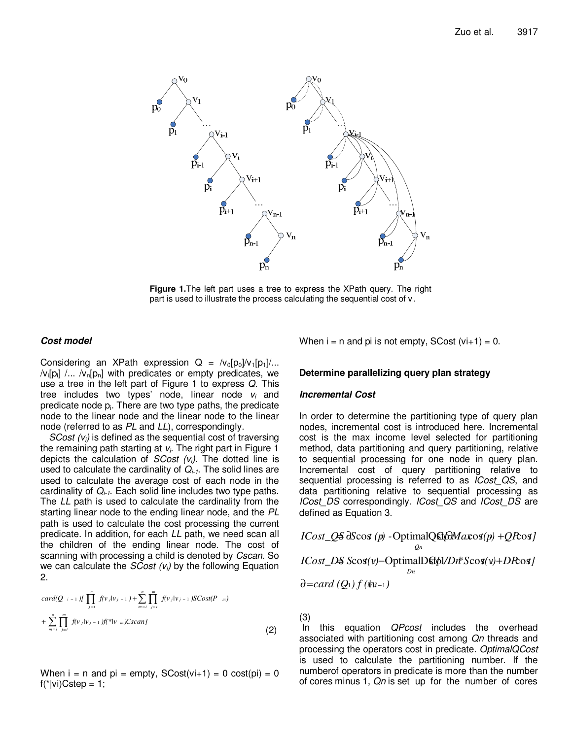

**Figure 1.**The left part uses a tree to express the XPath query. The right part is used to illustrate the process calculating the sequential cost of  $v_i$ .

## **Cost model**

Considering an XPath expression  $Q = /v_0[p_0]/v_1[p_1]/...$  $\mathcal{N}_i[p_i]$  /...  $\mathcal{N}_n[p_n]$  with predicates or empty predicates, we use a tree in the left part of Figure 1 to express *Q*. This tree includes two types' node, linear node *v<sup>i</sup>* and predicate node p<sub>i</sub>. There are two type paths, the predicate node to the linear node and the linear node to the linear node (referred to as *PL* and *LL*), correspondingly.

*SCost (vi)* is defined as the sequential cost of traversing the remaining path starting at *v<sup>i</sup>* . The right part in Figure 1 depicts the calculation of *SCost (vi)*. The dotted line is used to calculate the cardinality of *Qi-1*. The solid lines are used to calculate the average cost of each node in the cardinality of *Qi-1*. Each solid line includes two type paths. The *LL* path is used to calculate the cardinality from the starting linear node to the ending linear node, and the *PL* path is used to calculate the cost processing the current predicate. In addition, for each *LL* path, we need scan all the children of the ending linear node. The cost of scanning with processing a child is denoted by *Cscan*. So we can calculate the *SCost (vi)* by the following Equation 2.

$$
card(Q_{i-1}) \prod_{j=i}^{n} f(v_j|v_{j-1}) + \sum_{m=i}^{n} \prod_{j=i}^{m} f(v_j|v_{j-1}) SCost(P_{m})
$$
  
+ 
$$
\sum_{m=i}^{n} \prod_{j=i}^{m} f(v_j|v_{j-1}) f(\hat{f}^*|v_m) Cscan J
$$
 (2)

When  $i = n$  and  $pi =$  empty,  $SCost(v + 1) = 0$  cost( $pi) = 0$  $f('k)Cstep = 1;$ 

When  $i = n$  and pi is not empty, SCost  $(v + 1) = 0$ .

## **Determine parallelizing query plan strategy**

#### **Incremental Cost**

In order to determine the partitioning type of query plan nodes, incremental cost is introduced here. Incremental cost is the max income level selected for partitioning method, data partitioning and query partitioning, relative to sequential processing for one node in query plan. Incremental cost of query partitioning relative to sequential processing is referred to as *ICost\_QS*, and data partitioning relative to sequential processing as *ICost\_DS* correspondingly. *ICost\_QS* and *ICost\_DS* are defined as Equation 3.

$$
ICost_QS dScos(p) - OptimalQstf dMaxos(p) + QRos J
$$
  
\n
$$
ICost_QS dScos(v) - OptimalDst dDm * Scos(v) + DRos J
$$
  
\n
$$
Dm
$$
  
\n
$$
Dm
$$

(3)

 In this equation *QPcost* includes the overhead associated with partitioning cost among *Qn* threads and processing the operators cost in predicate. *OptimalQCost* is used to calculate the partitioning number. If the numberof operators in predicate is more than the number of cores minus 1, *Qn* is set up for the number of cores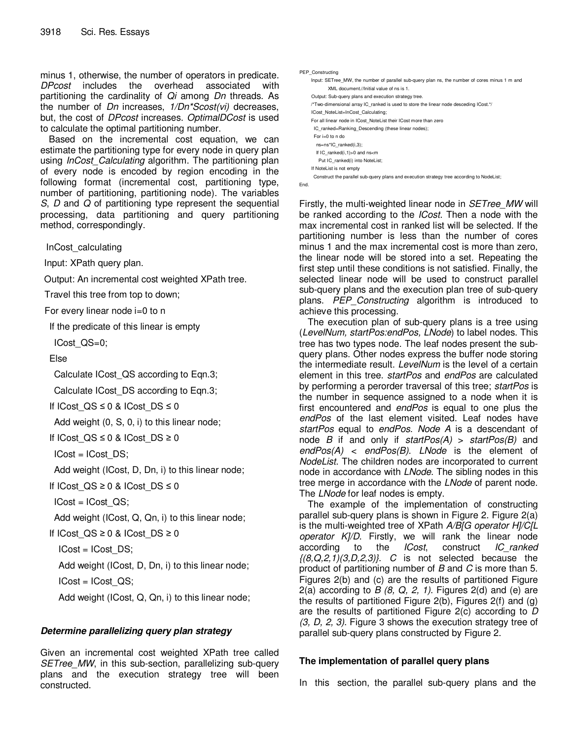minus 1, otherwise, the number of operators in predicate. *DPcost* includes the overhead associated with partitioning the cardinality of *Qi* among *Dn* threads. As the number of *Dn* increases, *1/Dn\*Scost(vi)* decreases, but, the cost of *DPcost* increases. *OptimalDCost* is used to calculate the optimal partitioning number.

Based on the incremental cost equation, we can estimate the partitioning type for every node in query plan using *InCost\_Calculating* algorithm. The partitioning plan of every node is encoded by region encoding in the following format (incremental cost, partitioning type, number of partitioning, partitioning node). The variables *S*, *D* and *Q* of partitioning type represent the sequential processing, data partitioning and query partitioning method, correspondingly.

InCost\_calculating

Input: XPath query plan.

Output: An incremental cost weighted XPath tree.

Travel this tree from top to down;

For every linear node i=0 to n

If the predicate of this linear is empty

ICost\_QS=0;

Else

Calculate ICost\_QS according to Eqn.3;

Calculate ICost\_DS according to Eqn.3;

```
If ICost QS ≤ 0 & ICost DS ≤ 0
```
Add weight (0, S, 0, i) to this linear node;

If ICost  $QS ≤ 0 & ICost$  DS ≥ 0

 $ICost = ICost$   $DS$ ;

Add weight (ICost, D, Dn, i) to this linear node;

If ICost\_QS ≥ 0 & ICost\_DS  $\leq$  0

 $ICost = ICost$   $QS$ ;

Add weight (ICost, Q, Qn, i) to this linear node;

If ICost\_QS ≥ 0 & ICost\_DS ≥ 0

 $ICost = ICost$   $DS;$ 

Add weight (ICost, D, Dn, i) to this linear node;

 $ICost = ICost$   $QS;$ 

Add weight (ICost, Q, Qn, i) to this linear node;

# **Determine parallelizing query plan strategy**

Given an incremental cost weighted XPath tree called *SETree MW*, in this sub-section, parallelizing sub-query plans and the execution strategy tree will been constructed.

| PEP Constructing                                                                              |
|-----------------------------------------------------------------------------------------------|
| Input: SETree MW, the number of parallel sub-query plan ns, the number of cores minus 1 m and |
| XML document.//Initial value of ns is 1.                                                      |
| Output: Sub-query plans and execution strategy tree.                                          |
| /*Two-dimensional array IC ranked is used to store the linear node desceding ICost.*/         |
| ICost NoteList=InCost Calculating;                                                            |
| For all linear node in ICost NoteList their ICost more than zero                              |
| IC ranked=Ranking Descending (these linear nodes);                                            |
| For $i=0$ to n do                                                                             |
| ns=ns*IC ranked(i,3);                                                                         |
| If IC ranked $(i,1)$ >0 and ns <m< td=""></m<>                                                |
| Put IC ranked(i) into NoteList;                                                               |
| If NoteList is not empty                                                                      |
| Construct the parallel sub-query plans and execution strategy tree according to NodeList;     |
| End.                                                                                          |

Firstly, the multi-weighted linear node in *SETree\_MW* will be ranked according to the *ICost*. Then a node with the max incremental cost in ranked list will be selected. If the partitioning number is less than the number of cores minus 1 and the max incremental cost is more than zero, the linear node will be stored into a set. Repeating the first step until these conditions is not satisfied. Finally, the selected linear node will be used to construct parallel sub-query plans and the execution plan tree of sub-query plans. *PEP\_Constructing* algorithm is introduced to achieve this processing.

The execution plan of sub-query plans is a tree using (*LevelNum, startPos:endPos, LNode*) to label nodes. This tree has two types node. The leaf nodes present the subquery plans. Other nodes express the buffer node storing the intermediate result. *LevelNum* is the level of a certain element in this tree. *startPos* and *endPos* are calculated by performing a perorder traversal of this tree; *startPos* is the number in sequence assigned to a node when it is first encountered and *endPos* is equal to one plus the *endPos* of the last element visited. Leaf nodes have *startPos* equal to *endPos*. *Node A* is a descendant of node *B* if and only if *startPos(A)* > *startPos(B)* and *endPos(A)* < *endPos(B)*. *LNode* is the element of *NodeList*. The children nodes are incorporated to current node in accordance with *LNode*. The sibling nodes in this tree merge in accordance with the *LNode* of parent node. The *LNode* for leaf nodes is empty.

The example of the implementation of constructing parallel sub-query plans is shown in Figure 2. Figure 2(a) is the multi-weighted tree of XPath *A/B[G operator H]/C[L operator K]/D*. Firstly, we will rank the linear node according to the *ICost*, construct *IC\_ranked {(8,Q,2,1)(3,D,2,3)}*. *C* is not selected because the product of partitioning number of *B* and *C* is more than 5. Figures 2(b) and (c) are the results of partitioned Figure 2(a) according to *B (8, Q, 2, 1)*. Figures 2(d) and (e) are the results of partitioned Figure 2(b), Figures 2(f) and (g) are the results of partitioned Figure 2(c) according to *D (3, D, 2, 3)*. Figure 3 shows the execution strategy tree of parallel sub-query plans constructed by Figure 2.

# **The implementation of parallel query plans**

In this section, the parallel sub-query plans and the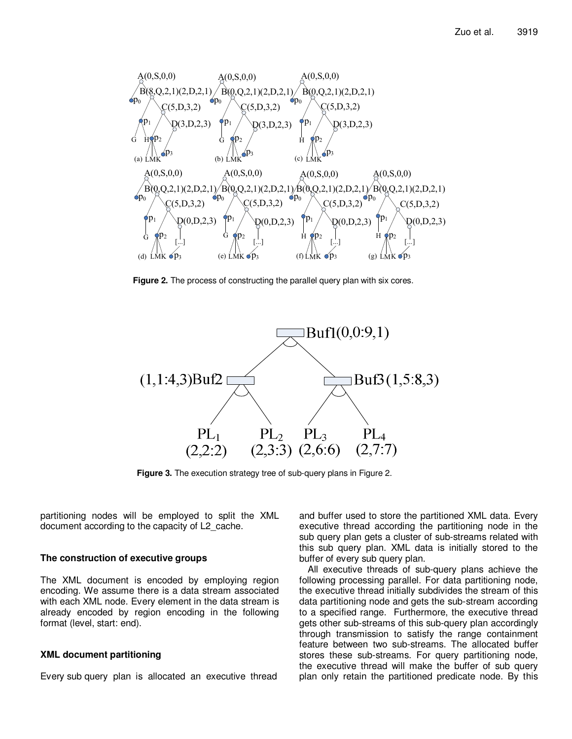

**Figure 2.** The process of constructing the parallel query plan with six cores.



**Figure 3.** The execution strategy tree of sub-query plans in Figure 2.

partitioning nodes will be employed to split the XML document according to the capacity of L2\_cache.

#### **The construction of executive groups**

The XML document is encoded by employing region encoding. We assume there is a data stream associated with each XML node. Every element in the data stream is already encoded by region encoding in the following format (level, start: end).

#### **XML document partitioning**

Every sub query plan is allocated an executive thread

and buffer used to store the partitioned XML data. Every executive thread according the partitioning node in the sub query plan gets a cluster of sub-streams related with this sub query plan. XML data is initially stored to the buffer of every sub query plan.

All executive threads of sub-query plans achieve the following processing parallel. For data partitioning node, the executive thread initially subdivides the stream of this data partitioning node and gets the sub-stream according to a specified range. Furthermore, the executive thread gets other sub-streams of this sub-query plan accordingly through transmission to satisfy the range containment feature between two sub-streams. The allocated buffer stores these sub-streams. For query partitioning node, the executive thread will make the buffer of sub query plan only retain the partitioned predicate node. By this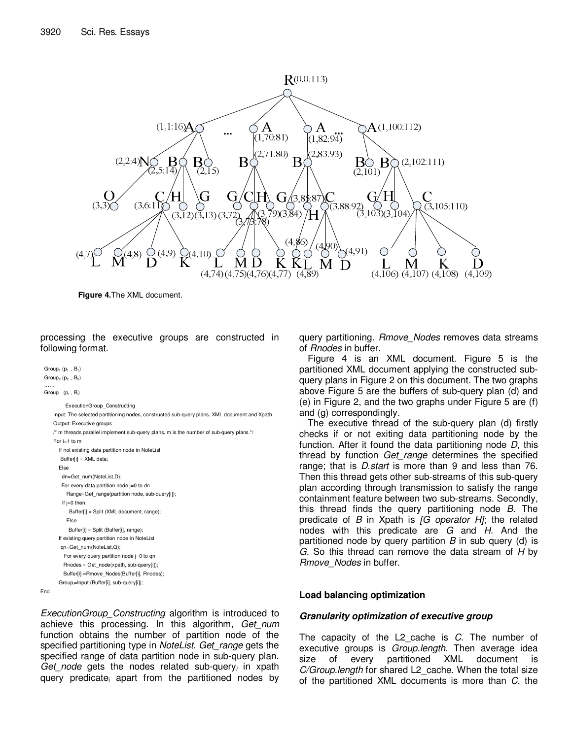

**Figure 4.**The XML document.

processing the executive groups are constructed in following format.

 $Group_1(p_1,B_1)$  $Group_2(p_2, B_2)$ …… Groupi (pi,B<sup>i</sup> )

End.

ExecutionGroup\_Constructing

```
Input: The selected partitioning nodes, constructed sub-query plans, XML document and Xpath.
Output: Executive groups 
/* m threads parallel implement sub-query plans, m is the number of sub-query plans.*/ 
For i=1 to m 
  If not existing data partition node in NoteList 
    Buffer[i] = XML data; 
  Else 
   dn=Get_num(NoteList,D); 
    For every data partition node j=0 to dn
```

```
Range=Get_range(partition node, sub-query[i]); 
 If j=0 then
```

```
Buffer[i] = Split (XML document, range);
```

```
Else
```

```
Buffer[i] = Split (Buffer[i], range);
```

```
If existing query partition node in NoteList
```

```
 qn=Get_num(NoteList,Q); 
 For every query partition node j=0 to qn
```

```
Rnodes = Get node(xpath, sub-query[i]):
```

```
 Buffer[i] =Rmove_Nodes(Buffer[i], Rnodes);
```

```
Groupi=Input (Buffer[i], sub-query[i]);
```
*ExecutionGroup\_Constructing* algorithm is introduced to achieve this processing. In this algorithm, *Get\_num* function obtains the number of partition node of the specified partitioning type in *NoteList*. *Get\_range* gets the specified range of data partition node in sub-query plan. *Get\_node* gets the nodes related sub-query*<sup>i</sup>* in xpath query predicate<sub>i</sub> apart from the partitioned nodes by query partitioning. *Rmove\_Nodes* removes data streams of *Rnodes* in buffer.

Figure 4 is an XML document. Figure 5 is the partitioned XML document applying the constructed subquery plans in Figure 2 on this document. The two graphs above Figure 5 are the buffers of sub-query plan (d) and (e) in Figure 2, and the two graphs under Figure 5 are (f) and (g) correspondingly.

The executive thread of the sub-query plan (d) firstly checks if or not exiting data partitioning node by the function. After it found the data partitioning node *D*, this thread by function *Get\_range* determines the specified range; that is *D.start* is more than 9 and less than 76. Then this thread gets other sub-streams of this sub-query plan according through transmission to satisfy the range containment feature between two sub-streams. Secondly, this thread finds the query partitioning node *B*. The predicate of *B* in Xpath is *[G operator H]*; the related nodes with this predicate are *G* and *H*. And the partitioned node by query partition *B* in sub query (d) is *G*. So this thread can remove the data stream of *H* by *Rmove\_Nodes* in buffer.

# **Load balancing optimization**

# **Granularity optimization of executive group**

The capacity of the L2\_cache is *C*. The number of executive groups is *Group.length*. Then average idea size of every partitioned XML document is *C/Group.length* for shared L2\_cache. When the total size of the partitioned XML documents is more than *C*, the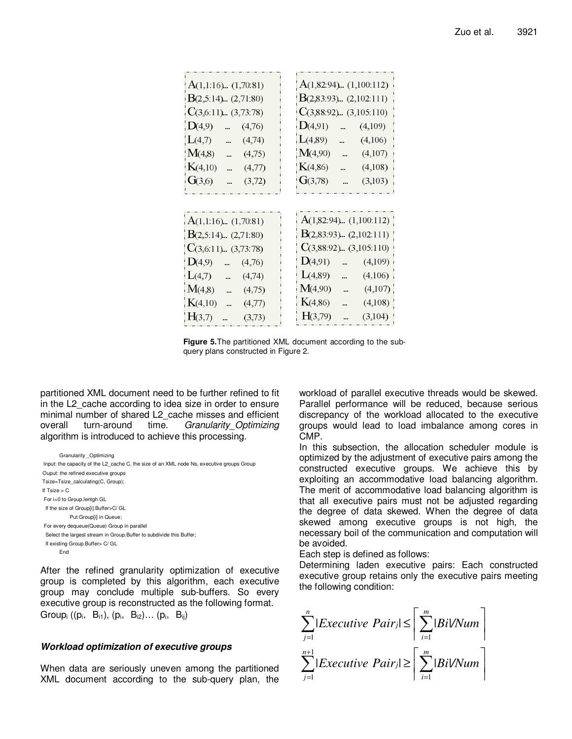| $A(1,1:16)$ $(1,70.81)$                   | A(1,82:94) $(1,100.112)$     |  |  |
|-------------------------------------------|------------------------------|--|--|
| $B(2,5.14)$ (2,71.80)                     | $B(2,83.93)$ $(2,102.111)$   |  |  |
| $C(3,6.11)$ $(3,73.78)$                   | $C(3,88.92)$ $(3,105.110)$   |  |  |
| D(4,9)<br>(4,76)<br>                      | D(4,91)<br>(4,109)<br>$\sim$ |  |  |
| L(4,7)<br>(4,74)<br>u.                    | L(4,89)<br>u.<br>(4,106)     |  |  |
| M(4,8)<br>(4,75)<br>$\ddot{\phantom{a}}$  | M(4,90)<br>(4,107)           |  |  |
| K(4,10)<br>(4,77)<br>                     | K(4, 86)<br>(4,108)          |  |  |
| G(3,6)<br>(3,72)                          | G(3,78)<br>(3,103)           |  |  |
|                                           |                              |  |  |
|                                           |                              |  |  |
| $A(1,1:16)$ $(1,70.81)$                   | $A(1,82.94)$ $(1,100.112)$   |  |  |
| $B(2,5.14)$ $(2,71.80)$                   | $B(2,83.93)$ $(2,102.111)$   |  |  |
| $C(3,6.11)$ . $(3,73.78)$                 | $C(3,88.92)$ $(3,105.110)$   |  |  |
| D(4,9)<br>(4,76)<br>u.                    | D(4,91)<br>(4,109)<br>ù.     |  |  |
| L(4,7)<br>(4,74)<br>j.                    | L(4,89)<br>(4,106)           |  |  |
| M(4,8)<br>(4,75)<br>j.                    | M(4,90)<br>(4,107)           |  |  |
| K(4,10)<br>(4,77)<br>$\ddot{\phantom{a}}$ | K(4, 86)<br>(4,108)          |  |  |
| H(3,7)<br>(3,73)                          | H(3,79)<br>(3,104)           |  |  |

**Figure 5.**The partitioned XML document according to the subquery plans constructed in Figure 2.

partitioned XML document need to be further refined to fit in the L2 cache according to idea size in order to ensure minimal number of shared L2 cache misses and efficient overall turn-around time. *Granularity\_Optimizing* algorithm is introduced to achieve this processing.

Granularity \_Optimizing Input: the capacity of the L2\_cache C, the size of an XML node Ns, executive groups Group Ouput: the refined executive groups Tsize=Tsize\_calculating(C, Group); If  $Tsize > C$  For i=0 to Group.lentgh GL If the size of Group[i].Buffer>C/ GL Put Group[i] in Queue; For every dequeue(Queue) Group in parallel Select the largest stream in Group.Buffer to subdivide this Buffer; If existing Group.Buffer> C/ GL End

After the refined granularity optimization of executive group is completed by this algorithm, each executive group may conclude multiple sub-buffers. So every executive group is reconstructed as the following format. Group<sub>i</sub> ((p<sub>i</sub>, B<sub>i1</sub>), (p<sub>i</sub>, B<sub>i2</sub>)... (p<sub>i</sub>, B<sub>ij</sub>)

# **Workload optimization of executive groups**

When data are seriously uneven among the partitioned XML document according to the sub-query plan, the

workload of parallel executive threads would be skewed. Parallel performance will be reduced, because serious discrepancy of the workload allocated to the executive groups would lead to load imbalance among cores in CMP.

In this subsection, the allocation scheduler module is optimized by the adjustment of executive pairs among the constructed executive groups. We achieve this by exploiting an accommodative load balancing algorithm. The merit of accommodative load balancing algorithm is that all executive pairs must not be adjusted regarding the degree of data skewed. When the degree of data skewed among executive groups is not high, the necessary boil of the communication and computation will be avoided.

Each step is defined as follows:

Determining laden executive pairs: Each constructed executive group retains only the executive pairs meeting the following condition:

$$
\sum_{j=1}^{n} |Execution \; Pair_j| \leq \left\lceil \sum_{i=1}^{m} |Bi \mid Num \right\rceil
$$
\n
$$
\sum_{j=1}^{n+1} |Execution \; Pair_j| \geq \left\lceil \sum_{i=1}^{m} |Bi \mid Num \right\rceil
$$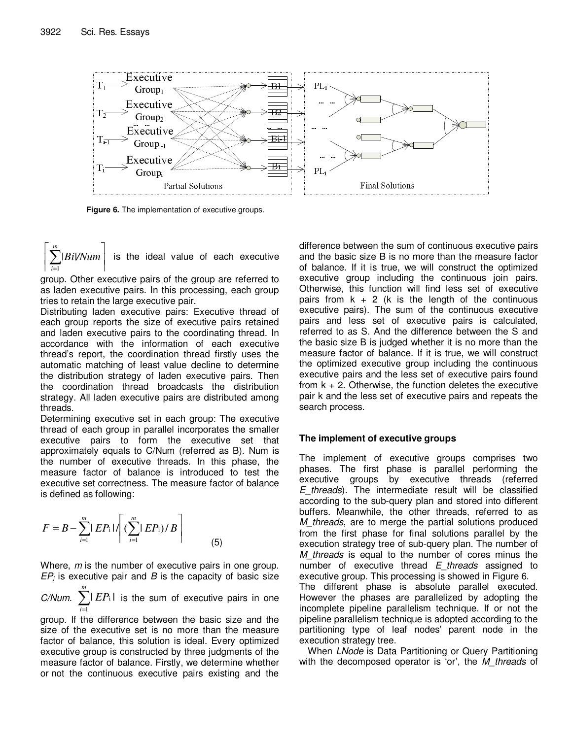

**Figure 6.** The implementation of executive groups.

 $\overline{\phantom{a}}$ 1  $\overline{\phantom{a}}$  $\left[\sum_{i=1}^m\right]$ *|Bi|/Num m*  $i=1$ is the ideal value of each executive

group. Other executive pairs of the group are referred to as laden executive pairs. In this processing, each group tries to retain the large executive pair.

Distributing laden executive pairs: Executive thread of each group reports the size of executive pairs retained and laden executive pairs to the coordinating thread. In accordance with the information of each executive thread's report, the coordination thread firstly uses the automatic matching of least value decline to determine the distribution strategy of laden executive pairs. Then the coordination thread broadcasts the distribution strategy. All laden executive pairs are distributed among threads.

Determining executive set in each group: The executive thread of each group in parallel incorporates the smaller executive pairs to form the executive set that approximately equals to C/Num (referred as B). Num is the number of executive threads. In this phase, the measure factor of balance is introduced to test the executive set correctness. The measure factor of balance is defined as following:

$$
F = B - \sum_{i=1}^{m} |E P_i| / \left[ \left( \sum_{i=1}^{m} |E P_i \right) / B \right]
$$
 (5)

Where, *m* is the number of executive pairs in one group. *EP<sup>i</sup>* is executive pair and *B* is the capacity of basic size

 $C/N$ *um.*  $\sum_{i=1}^{m}$ *m i EP* 1  $|EP_i|$  is the sum of executive pairs in one

group. If the difference between the basic size and the size of the executive set is no more than the measure factor of balance, this solution is ideal. Every optimized executive group is constructed by three judgments of the measure factor of balance. Firstly, we determine whether or not the continuous executive pairs existing and the

difference between the sum of continuous executive pairs and the basic size B is no more than the measure factor of balance. If it is true, we will construct the optimized executive group including the continuous join pairs. Otherwise, this function will find less set of executive pairs from  $k + 2$  (k is the length of the continuous executive pairs). The sum of the continuous executive pairs and less set of executive pairs is calculated, referred to as S. And the difference between the S and the basic size B is judged whether it is no more than the measure factor of balance. If it is true, we will construct the optimized executive group including the continuous executive pairs and the less set of executive pairs found from  $k + 2$ . Otherwise, the function deletes the executive pair k and the less set of executive pairs and repeats the search process.

# **The implement of executive groups**

The implement of executive groups comprises two phases. The first phase is parallel performing the executive groups by executive threads (referred *E\_threads*). The intermediate result will be classified according to the sub-query plan and stored into different buffers. Meanwhile, the other threads, referred to as *M\_threads*, are to merge the partial solutions produced from the first phase for final solutions parallel by the execution strategy tree of sub-query plan. The number of *M\_threads* is equal to the number of cores minus the number of executive thread *E\_threads* assigned to executive group. This processing is showed in Figure 6. The different phase is absolute parallel executed. However the phases are parallelized by adopting the incomplete pipeline parallelism technique. If or not the pipeline parallelism technique is adopted according to the partitioning type of leaf nodes' parent node in the

execution strategy tree. When *LNode* is Data Partitioning or Query Partitioning with the decomposed operator is 'or', the *M\_threads* of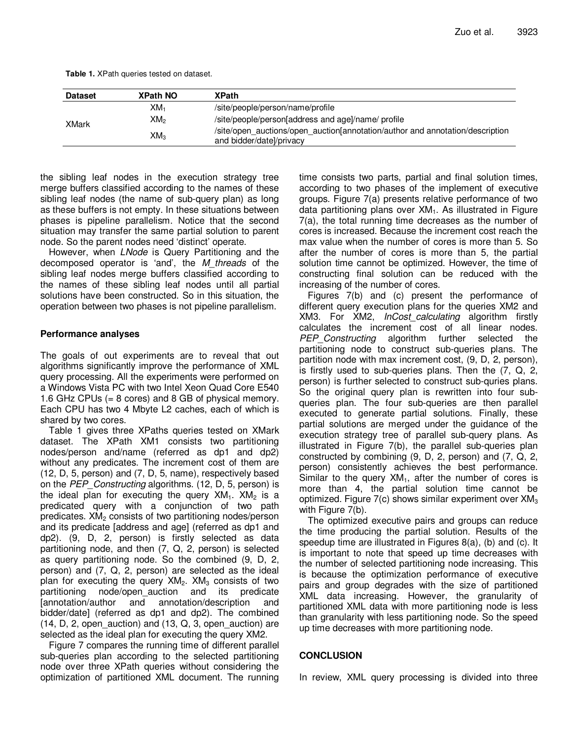| <b>Dataset</b> | <b>XPath NO</b> | <b>XPath</b>                                                                                              |
|----------------|-----------------|-----------------------------------------------------------------------------------------------------------|
| XMark          | XM <sub>1</sub> | /site/people/person/name/profile                                                                          |
|                | XM2             | /site/people/person[address and age]/name/ profile                                                        |
|                | $XM_3$          | /site/open auctions/open auction[annotation/author and annotation/description<br>and bidder/datel/privacy |

the sibling leaf nodes in the execution strategy tree merge buffers classified according to the names of these sibling leaf nodes (the name of sub-query plan) as long as these buffers is not empty. In these situations between phases is pipeline parallelism. Notice that the second situation may transfer the same partial solution to parent node. So the parent nodes need 'distinct' operate.

However, when *LNode* is Query Partitioning and the decomposed operator is 'and', the *M\_threads* of the sibling leaf nodes merge buffers classified according to the names of these sibling leaf nodes until all partial solutions have been constructed. So in this situation, the operation between two phases is not pipeline parallelism.

# **Performance analyses**

The goals of out experiments are to reveal that out algorithms significantly improve the performance of XML query processing. All the experiments were performed on a Windows Vista PC with two Intel Xeon Quad Core E540 1.6 GHz CPUs (= 8 cores) and 8 GB of physical memory. Each CPU has two 4 Mbyte L2 caches, each of which is shared by two cores.

Table 1 gives three XPaths queries tested on XMark dataset. The XPath XM1 consists two partitioning nodes/person and/name (referred as dp1 and dp2) without any predicates. The increment cost of them are (12, D, 5, person) and (7, D, 5, name), respectively based on the *PEP\_Constructing* algorithms. (12, D, 5, person) is the ideal plan for executing the query  $XM_1$ .  $XM_2$  is a predicated query with a conjunction of two path predicates.  $XM<sub>2</sub>$  consists of two partitioning nodes/person and its predicate [address and age] (referred as dp1 and dp2). (9, D, 2, person) is firstly selected as data partitioning node, and then (7, Q, 2, person) is selected as query partitioning node. So the combined (9, D, 2, person) and (7, Q, 2, person) are selected as the ideal plan for executing the query  $XM<sub>2</sub>$ . XM<sub>3</sub> consists of two partitioning node/open\_auction and its predicate [annotation/author and annotation/description and bidder/date] (referred as dp1 and dp2). The combined (14, D, 2, open\_auction) and (13, Q, 3, open\_auction) are selected as the ideal plan for executing the query XM2.

Figure 7 compares the running time of different parallel sub-queries plan according to the selected partitioning node over three XPath queries without considering the optimization of partitioned XML document. The running

time consists two parts, partial and final solution times, according to two phases of the implement of executive groups. Figure 7(a) presents relative performance of two data partitioning plans over  $XM<sub>1</sub>$ . As illustrated in Figure 7(a), the total running time decreases as the number of cores is increased. Because the increment cost reach the max value when the number of cores is more than 5. So after the number of cores is more than 5, the partial solution time cannot be optimized. However, the time of constructing final solution can be reduced with the increasing of the number of cores.

Figures 7(b) and (c) present the performance of different query execution plans for the queries XM2 and XM3. For XM2, *InCost\_calculating* algorithm firstly calculates the increment cost of all linear nodes. *PEP\_Constructing* algorithm further selected the partitioning node to construct sub-queries plans. The partition node with max increment cost, (9, D, 2, person), is firstly used to sub-queries plans. Then the (7, Q, 2, person) is further selected to construct sub-quries plans. So the original query plan is rewritten into four subqueries plan. The four sub-queries are then parallel executed to generate partial solutions. Finally, these partial solutions are merged under the guidance of the execution strategy tree of parallel sub-query plans. As illustrated in Figure 7(b), the parallel sub-queries plan constructed by combining (9, D, 2, person) and (7, Q, 2, person) consistently achieves the best performance. Similar to the query  $XM<sub>1</sub>$ , after the number of cores is more than 4, the partial solution time cannot be optimized. Figure  $7(c)$  shows similar experiment over  $XM_{3}$ with Figure 7(b).

The optimized executive pairs and groups can reduce the time producing the partial solution. Results of the speedup time are illustrated in Figures 8(a), (b) and (c). It is important to note that speed up time decreases with the number of selected partitioning node increasing. This is because the optimization performance of executive pairs and group degrades with the size of partitioned XML data increasing. However, the granularity of partitioned XML data with more partitioning node is less than granularity with less partitioning node. So the speed up time decreases with more partitioning node.

#### **CONCLUSION**

In review, XML query processing is divided into three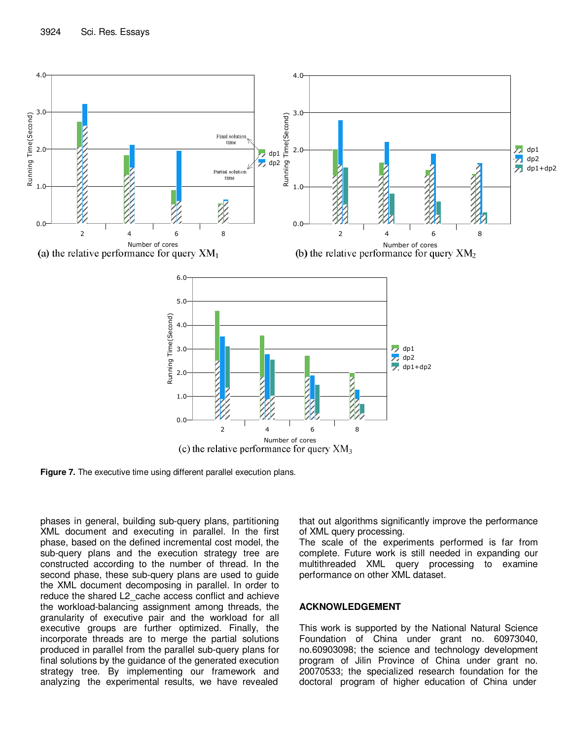

**Figure 7.** The executive time using different parallel execution plans.

phases in general, building sub-query plans, partitioning XML document and executing in parallel. In the first phase, based on the defined incremental cost model, the sub-query plans and the execution strategy tree are constructed according to the number of thread. In the second phase, these sub-query plans are used to guide the XML document decomposing in parallel. In order to reduce the shared L2\_cache access conflict and achieve the workload-balancing assignment among threads, the granularity of executive pair and the workload for all executive groups are further optimized. Finally, the incorporate threads are to merge the partial solutions produced in parallel from the parallel sub-query plans for final solutions by the guidance of the generated execution strategy tree. By implementing our framework and analyzing the experimental results, we have revealed

that out algorithms significantly improve the performance of XML query processing.

The scale of the experiments performed is far from complete. Future work is still needed in expanding our multithreaded XML query processing to examine performance on other XML dataset.

## **ACKNOWLEDGEMENT**

This work is supported by the National Natural Science Foundation of China under grant no. 60973040, no.60903098; the science and technology development program of Jilin Province of China under grant no. 20070533; the specialized research foundation for the doctoral program of higher education of China under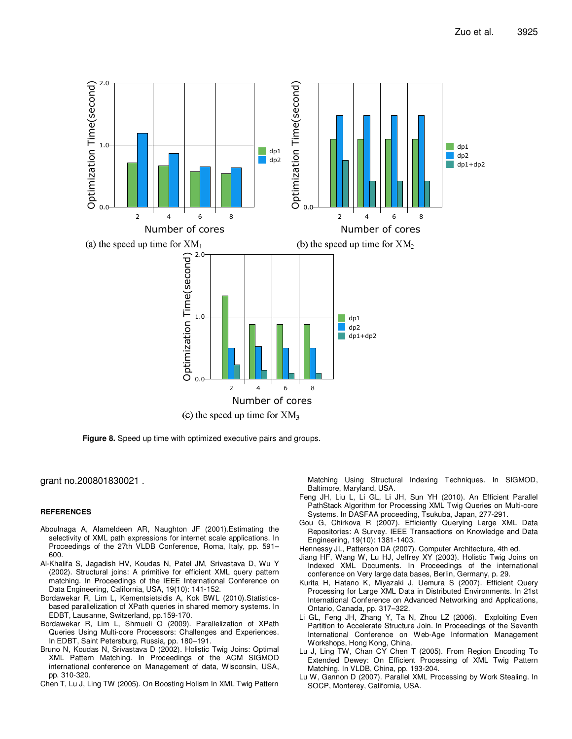

**Figure 8.** Speed up time with optimized executive pairs and groups.

grant no.200801830021 .

#### **REFERENCES**

- Aboulnaga A, Alameldeen AR, Naughton JF (2001).Estimating the selectivity of XML path expressions for internet scale applications. In Proceedings of the 27th VLDB Conference, Roma, Italy, pp. 591– 600.
- Al-Khalifa S, Jagadish HV, Koudas N, Patel JM, Srivastava D, Wu Y (2002). Structural joins: A primitive for efficient XML query pattern matching. In Proceedings of the IEEE International Conference on Data Engineering, California, USA, 19(10): 141-152.
- Bordawekar R, Lim L, Kementsietsidis A, Kok BWL (2010).Statisticsbased parallelization of XPath queries in shared memory systems. In EDBT, Lausanne, Switzerland, pp.159-170.
- Bordawekar R, Lim L, Shmueli O (2009). Parallelization of XPath Queries Using Multi-core Processors: Challenges and Experiences. In EDBT, Saint Petersburg, Russia, pp. 180–191.
- Bruno N, Koudas N, Srivastava D (2002). Holistic Twig Joins: Optimal XML Pattern Matching. In Proceedings of the ACM SIGMOD international conference on Management of data, Wisconsin, USA, pp. 310-320.
- Chen T, Lu J, Ling TW (2005). On Boosting Holism In XML Twig Pattern

Matching Using Structural Indexing Techniques. In SIGMOD, Baltimore, Maryland, USA.

- Feng JH, Liu L, Li GL, Li JH, Sun YH (2010). An Efficient Parallel PathStack Algorithm for Processing XML Twig Queries on Multi-core Systems. In DASFAA proceeding, Tsukuba, Japan, 277-291.
- Gou G, Chirkova R (2007). Efficiently Querying Large XML Data Repositories: A Survey. IEEE Transactions on Knowledge and Data Engineering, 19(10): 1381-1403.
- Hennessy JL, Patterson DA (2007). Computer Architecture, 4th ed.
- Jiang HF, Wang W, Lu HJ, Jeffrey XY (2003). Holistic Twig Joins on Indexed XML Documents. In Proceedings of the international conference on Very large data bases, Berlin, Germany, p. 29.
- Kurita H, Hatano K, Miyazaki J, Uemura S (2007). Efficient Query Processing for Large XML Data in Distributed Environments. In 21st International Conference on Advanced Networking and Applications, Ontario, Canada, pp. 317–322.
- Li GL, Feng JH, Zhang Y, Ta N, Zhou LZ (2006). Exploiting Even Partition to Accelerate Structure Join. In Proceedings of the Seventh International Conference on Web-Age Information Management Workshops, Hong Kong, China.
- Lu J, Ling TW, Chan CY Chen T (2005). From Region Encoding To Extended Dewey: On Efficient Processing of XML Twig Pattern Matching. In VLDB, China, pp. 193-204.
- Lu W, Gannon D (2007). Parallel XML Processing by Work Stealing. In SOCP, Monterey, California, USA.